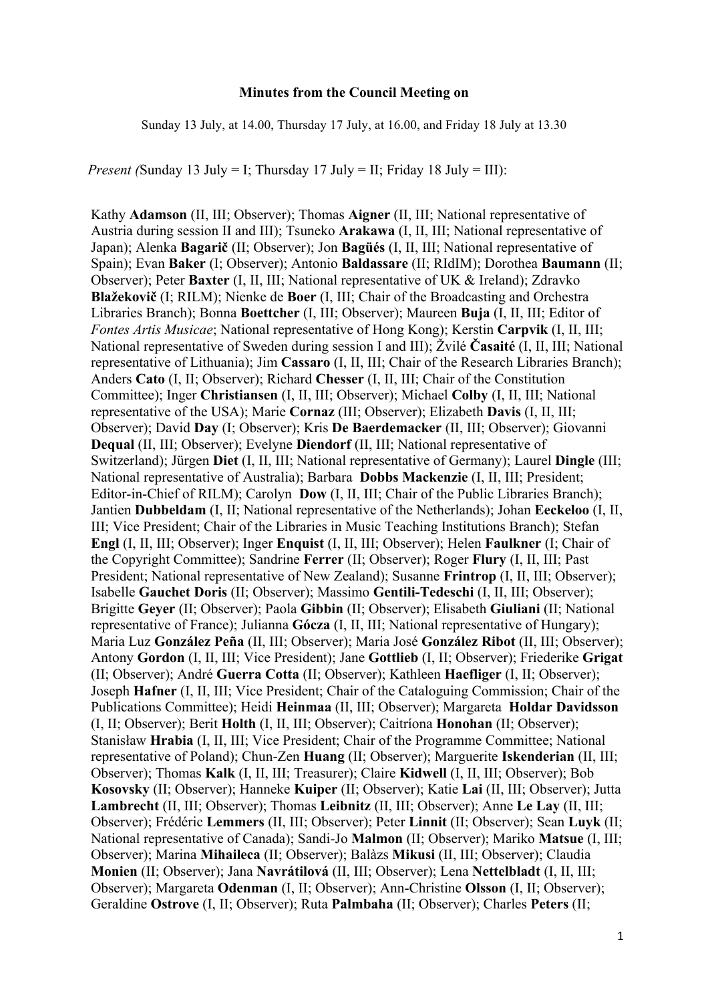#### **Minutes from the Council Meeting on**

Sunday 13 July, at 14.00, Thursday 17 July, at 16.00, and Friday 18 July at 13.30

*Present (*Sunday 13 July = I; Thursday 17 July = II; Friday 18 July = III):

Kathy **Adamson** (II, III; Observer); Thomas **Aigner** (II, III; National representative of Austria during session II and III); Tsuneko **Arakawa** (I, II, III; National representative of Japan); Alenka **Bagarič** (II; Observer); Jon **Bagüés** (I, II, III; National representative of Spain); Evan **Baker** (I; Observer); Antonio **Baldassare** (II; RIdIM); Dorothea **Baumann** (II; Observer); Peter **Baxter** (I, II, III; National representative of UK & Ireland); Zdravko **Blažekovič** (I; RILM); Nienke de **Boer** (I, III; Chair of the Broadcasting and Orchestra Libraries Branch); Bonna **Boettcher** (I, III; Observer); Maureen **Buja** (I, II, III; Editor of *Fontes Artis Musicae*; National representative of Hong Kong); Kerstin **Carpvik** (I, II, III; National representative of Sweden during session I and III); Žvilé **Časaité** (I, II, III; National representative of Lithuania); Jim **Cassaro** (I, II, III; Chair of the Research Libraries Branch); Anders **Cato** (I, II; Observer); Richard **Chesser** (I, II, III; Chair of the Constitution Committee); Inger **Christiansen** (I, II, III; Observer); Michael **Colby** (I, II, III; National representative of the USA); Marie **Cornaz** (III; Observer); Elizabeth **Davis** (I, II, III; Observer); David **Day** (I; Observer); Kris **De Baerdemacker** (II, III; Observer); Giovanni **Dequal** (II, III; Observer); Evelyne **Diendorf** (II, III; National representative of Switzerland); Jürgen **Diet** (I, II, III; National representative of Germany); Laurel **Dingle** (III; National representative of Australia); Barbara **Dobbs Mackenzie** (I, II, III; President; Editor-in-Chief of RILM); Carolyn **Dow** (I, II, III; Chair of the Public Libraries Branch); Jantien **Dubbeldam** (I, II; National representative of the Netherlands); Johan **Eeckeloo** (I, II, III; Vice President; Chair of the Libraries in Music Teaching Institutions Branch); Stefan **Engl** (I, II, III; Observer); Inger **Enquist** (I, II, III; Observer); Helen **Faulkner** (I; Chair of the Copyright Committee); Sandrine **Ferrer** (II; Observer); Roger **Flury** (I, II, III; Past President; National representative of New Zealand); Susanne **Frintrop** (I, II, III; Observer); Isabelle **Gauchet Doris** (II; Observer); Massimo **Gentili-Tedeschi** (I, II, III; Observer); Brigitte **Geyer** (II; Observer); Paola **Gibbin** (II; Observer); Elisabeth **Giuliani** (II; National representative of France); Julianna **Gócza** (I, II, III; National representative of Hungary); Maria Luz **González Peña** (II, III; Observer); Maria José **González Ribot** (II, III; Observer); Antony **Gordon** (I, II, III; Vice President); Jane **Gottlieb** (I, II; Observer); Friederike **Grigat** (II; Observer); André **Guerra Cotta** (II; Observer); Kathleen **Haefliger** (I, II; Observer); Joseph **Hafner** (I, II, III; Vice President; Chair of the Cataloguing Commission; Chair of the Publications Committee); Heidi **Heinmaa** (II, III; Observer); Margareta **Holdar Davidsson** (I, II; Observer); Berit **Holth** (I, II, III; Observer); Caitríona **Honohan** (II; Observer); Stanisław **Hrabia** (I, II, III; Vice President; Chair of the Programme Committee; National representative of Poland); Chun-Zen **Huang** (II; Observer); Marguerite **Iskenderian** (II, III; Observer); Thomas **Kalk** (I, II, III; Treasurer); Claire **Kidwell** (I, II, III; Observer); Bob **Kosovsky** (II; Observer); Hanneke **Kuiper** (II; Observer); Katie **Lai** (II, III; Observer); Jutta **Lambrecht** (II, III; Observer); Thomas **Leibnitz** (II, III; Observer); Anne **Le Lay** (II, III; Observer); Frédéric **Lemmers** (II, III; Observer); Peter **Linnit** (II; Observer); Sean **Luyk** (II; National representative of Canada); Sandi-Jo **Malmon** (II; Observer); Mariko **Matsue** (I, III; Observer); Marina **Mihaileca** (II; Observer); Balàzs **Mikusi** (II, III; Observer); Claudia **Monien** (II; Observer); Jana **Navrátilová** (II, III; Observer); Lena **Nettelbladt** (I, II, III; Observer); Margareta **Odenman** (I, II; Observer); Ann-Christine **Olsson** (I, II; Observer); Geraldine **Ostrove** (I, II; Observer); Ruta **Palmbaha** (II; Observer); Charles **Peters** (II;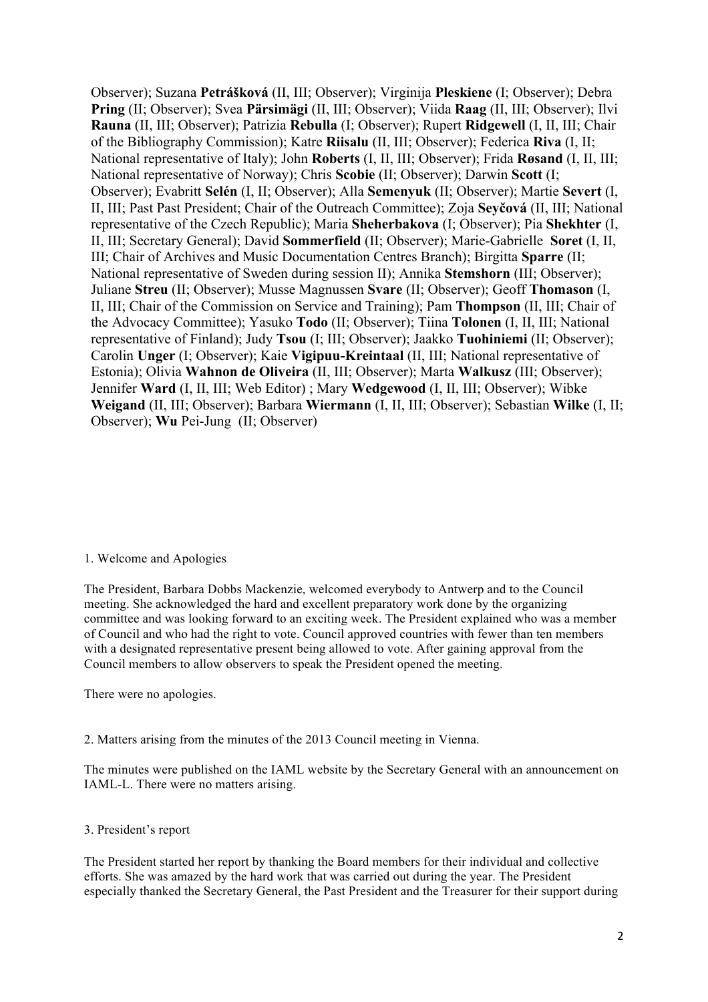Observer); Suzana **Petrášková** (II, III; Observer); Virginija **Pleskiene** (I; Observer); Debra **Pring** (II; Observer); Svea **Pärsimägi** (II, III; Observer); Viida **Raag** (II, III; Observer); Ilvi **Rauna** (II, III; Observer); Patrizia **Rebulla** (I; Observer); Rupert **Ridgewell** (I, II, III; Chair of the Bibliography Commission); Katre **Riisalu** (II, III; Observer); Federica **Riva** (I, II; National representative of Italy); John **Roberts** (I, II, III; Observer); Frida **Røsand** (I, II, III; National representative of Norway); Chris **Scobie** (II; Observer); Darwin **Scott** (I; Observer); Evabritt **Selén** (I, II; Observer); Alla **Semenyuk** (II; Observer); Martie **Severt** (I, II, III; Past Past President; Chair of the Outreach Committee); Zoja **Seyčová** (II, III; National representative of the Czech Republic); Maria **Sheherbakova** (I; Observer); Pia **Shekhter** (I, II, III; Secretary General); David **Sommerfield** (II; Observer); Marie-Gabrielle **Soret** (I, II, III; Chair of Archives and Music Documentation Centres Branch); Birgitta **Sparre** (II; National representative of Sweden during session II); Annika **Stemshorn** (III; Observer); Juliane **Streu** (II; Observer); Musse Magnussen **Svare** (II; Observer); Geoff **Thomason** (I, II, III; Chair of the Commission on Service and Training); Pam **Thompson** (II, III; Chair of the Advocacy Committee); Yasuko **Todo** (II; Observer); Tiina **Tolonen** (I, II, III; National representative of Finland); Judy **Tsou** (I; III; Observer); Jaakko **Tuohiniemi** (II; Observer); Carolin **Unger** (I; Observer); Kaie **Vigipuu-Kreintaal** (II, III; National representative of Estonia); Olivia **Wahnon de Oliveira** (II, III; Observer); Marta **Walkusz** (III; Observer); Jennifer **Ward** (I, II, III; Web Editor) ; Mary **Wedgewood** (I, II, III; Observer); Wibke **Weigand** (II, III; Observer); Barbara **Wiermann** (I, II, III; Observer); Sebastian **Wilke** (I, II; Observer); **Wu** Pei-Jung (II; Observer)

#### 1. Welcome and Apologies

The President, Barbara Dobbs Mackenzie, welcomed everybody to Antwerp and to the Council meeting. She acknowledged the hard and excellent preparatory work done by the organizing committee and was looking forward to an exciting week. The President explained who was a member of Council and who had the right to vote. Council approved countries with fewer than ten members with a designated representative present being allowed to vote. After gaining approval from the Council members to allow observers to speak the President opened the meeting.

There were no apologies.

2. Matters arising from the minutes of the 2013 Council meeting in Vienna.

The minutes were published on the IAML website by the Secretary General with an announcement on IAML-L. There were no matters arising.

#### 3. President's report

The President started her report by thanking the Board members for their individual and collective efforts. She was amazed by the hard work that was carried out during the year. The President especially thanked the Secretary General, the Past President and the Treasurer for their support during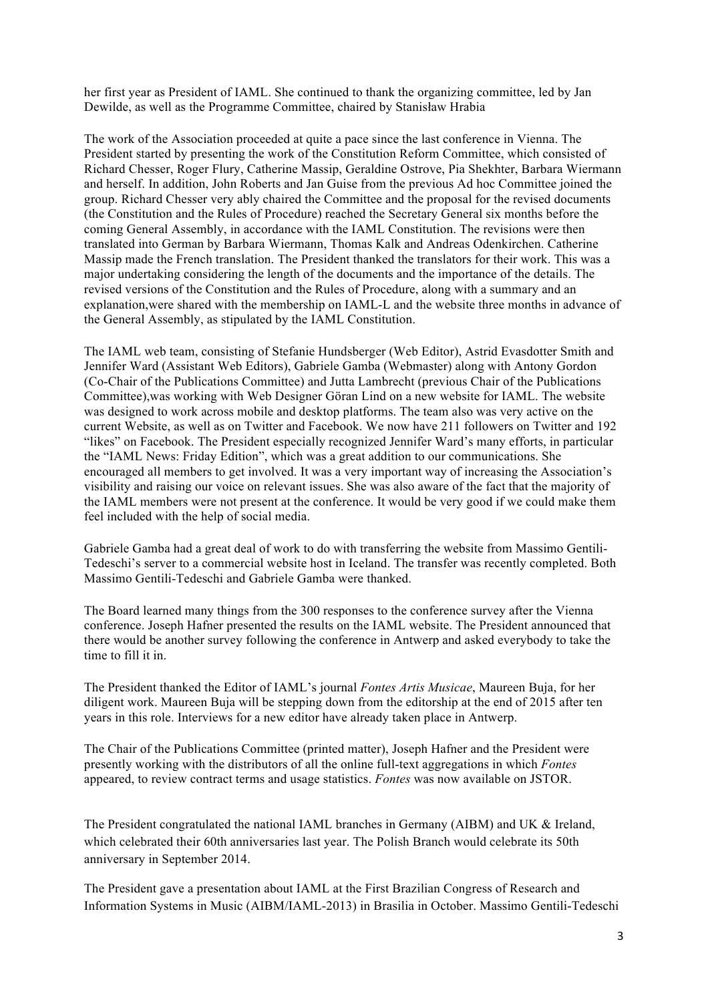her first year as President of IAML. She continued to thank the organizing committee, led by Jan Dewilde, as well as the Programme Committee, chaired by Stanisław Hrabia

The work of the Association proceeded at quite a pace since the last conference in Vienna. The President started by presenting the work of the Constitution Reform Committee, which consisted of Richard Chesser, Roger Flury, Catherine Massip, Geraldine Ostrove, Pia Shekhter, Barbara Wiermann and herself. In addition, John Roberts and Jan Guise from the previous Ad hoc Committee joined the group. Richard Chesser very ably chaired the Committee and the proposal for the revised documents (the Constitution and the Rules of Procedure) reached the Secretary General six months before the coming General Assembly, in accordance with the IAML Constitution. The revisions were then translated into German by Barbara Wiermann, Thomas Kalk and Andreas Odenkirchen. Catherine Massip made the French translation. The President thanked the translators for their work. This was a major undertaking considering the length of the documents and the importance of the details. The revised versions of the Constitution and the Rules of Procedure, along with a summary and an explanation,were shared with the membership on IAML-L and the website three months in advance of the General Assembly, as stipulated by the IAML Constitution.

The IAML web team, consisting of Stefanie Hundsberger (Web Editor), Astrid Evasdotter Smith and Jennifer Ward (Assistant Web Editors), Gabriele Gamba (Webmaster) along with Antony Gordon (Co-Chair of the Publications Committee) and Jutta Lambrecht (previous Chair of the Publications Committee),was working with Web Designer Göran Lind on a new website for IAML. The website was designed to work across mobile and desktop platforms. The team also was very active on the current Website, as well as on Twitter and Facebook. We now have 211 followers on Twitter and 192 "likes" on Facebook. The President especially recognized Jennifer Ward's many efforts, in particular the "IAML News: Friday Edition", which was a great addition to our communications. She encouraged all members to get involved. It was a very important way of increasing the Association's visibility and raising our voice on relevant issues. She was also aware of the fact that the majority of the IAML members were not present at the conference. It would be very good if we could make them feel included with the help of social media.

Gabriele Gamba had a great deal of work to do with transferring the website from Massimo Gentili-Tedeschi's server to a commercial website host in Iceland. The transfer was recently completed. Both Massimo Gentili-Tedeschi and Gabriele Gamba were thanked.

The Board learned many things from the 300 responses to the conference survey after the Vienna conference. Joseph Hafner presented the results on the IAML website. The President announced that there would be another survey following the conference in Antwerp and asked everybody to take the time to fill it in.

The President thanked the Editor of IAML's journal *Fontes Artis Musicae*, Maureen Buja, for her diligent work. Maureen Buja will be stepping down from the editorship at the end of 2015 after ten years in this role. Interviews for a new editor have already taken place in Antwerp.

The Chair of the Publications Committee (printed matter), Joseph Hafner and the President were presently working with the distributors of all the online full-text aggregations in which *Fontes* appeared, to review contract terms and usage statistics. *Fontes* was now available on JSTOR.

The President congratulated the national IAML branches in Germany (AIBM) and UK & Ireland, which celebrated their 60th anniversaries last year. The Polish Branch would celebrate its 50th anniversary in September 2014.

The President gave a presentation about IAML at the First Brazilian Congress of Research and Information Systems in Music (AIBM/IAML-2013) in Brasilia in October. Massimo Gentili-Tedeschi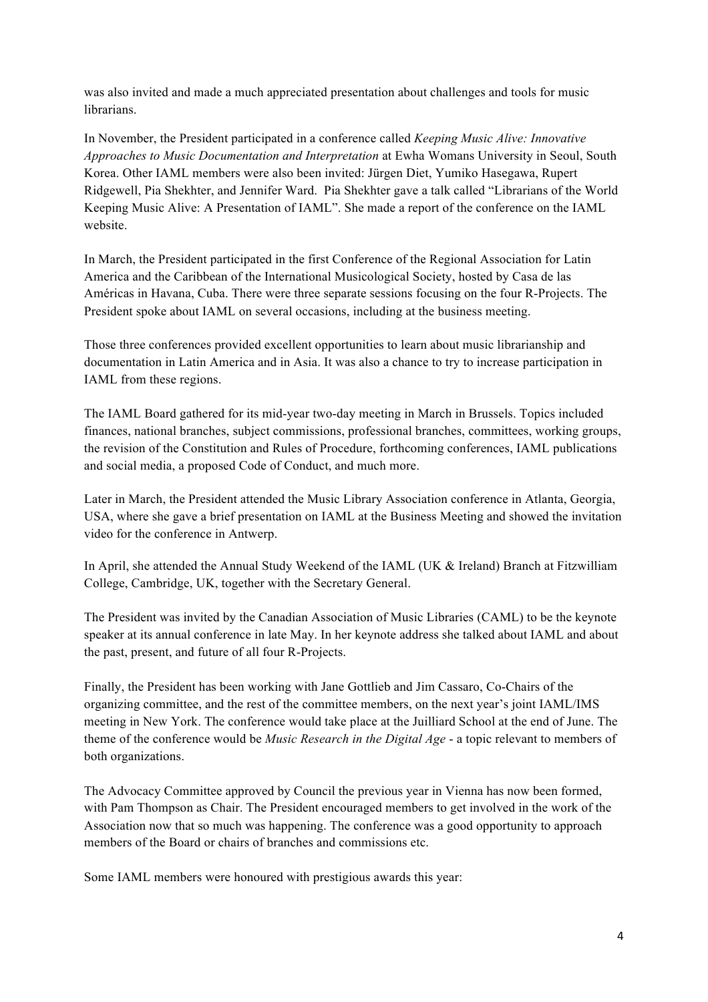was also invited and made a much appreciated presentation about challenges and tools for music **librarians** 

In November, the President participated in a conference called *Keeping Music Alive: Innovative Approaches to Music Documentation and Interpretation* at Ewha Womans University in Seoul, South Korea. Other IAML members were also been invited: Jürgen Diet, Yumiko Hasegawa, Rupert Ridgewell, Pia Shekhter, and Jennifer Ward. Pia Shekhter gave a talk called "Librarians of the World Keeping Music Alive: A Presentation of IAML". She made a report of the conference on the IAML website.

In March, the President participated in the first Conference of the Regional Association for Latin America and the Caribbean of the International Musicological Society, hosted by Casa de las Américas in Havana, Cuba. There were three separate sessions focusing on the four R-Projects. The President spoke about IAML on several occasions, including at the business meeting.

Those three conferences provided excellent opportunities to learn about music librarianship and documentation in Latin America and in Asia. It was also a chance to try to increase participation in IAML from these regions.

The IAML Board gathered for its mid-year two-day meeting in March in Brussels. Topics included finances, national branches, subject commissions, professional branches, committees, working groups, the revision of the Constitution and Rules of Procedure, forthcoming conferences, IAML publications and social media, a proposed Code of Conduct, and much more.

Later in March, the President attended the Music Library Association conference in Atlanta, Georgia, USA, where she gave a brief presentation on IAML at the Business Meeting and showed the invitation video for the conference in Antwerp.

In April, she attended the Annual Study Weekend of the IAML (UK & Ireland) Branch at Fitzwilliam College, Cambridge, UK, together with the Secretary General.

The President was invited by the Canadian Association of Music Libraries (CAML) to be the keynote speaker at its annual conference in late May. In her keynote address she talked about IAML and about the past, present, and future of all four R-Projects.

Finally, the President has been working with Jane Gottlieb and Jim Cassaro, Co-Chairs of the organizing committee, and the rest of the committee members, on the next year's joint IAML/IMS meeting in New York. The conference would take place at the Juilliard School at the end of June. The theme of the conference would be *Music Research in the Digital Age* - a topic relevant to members of both organizations.

The Advocacy Committee approved by Council the previous year in Vienna has now been formed, with Pam Thompson as Chair. The President encouraged members to get involved in the work of the Association now that so much was happening. The conference was a good opportunity to approach members of the Board or chairs of branches and commissions etc.

Some IAML members were honoured with prestigious awards this year: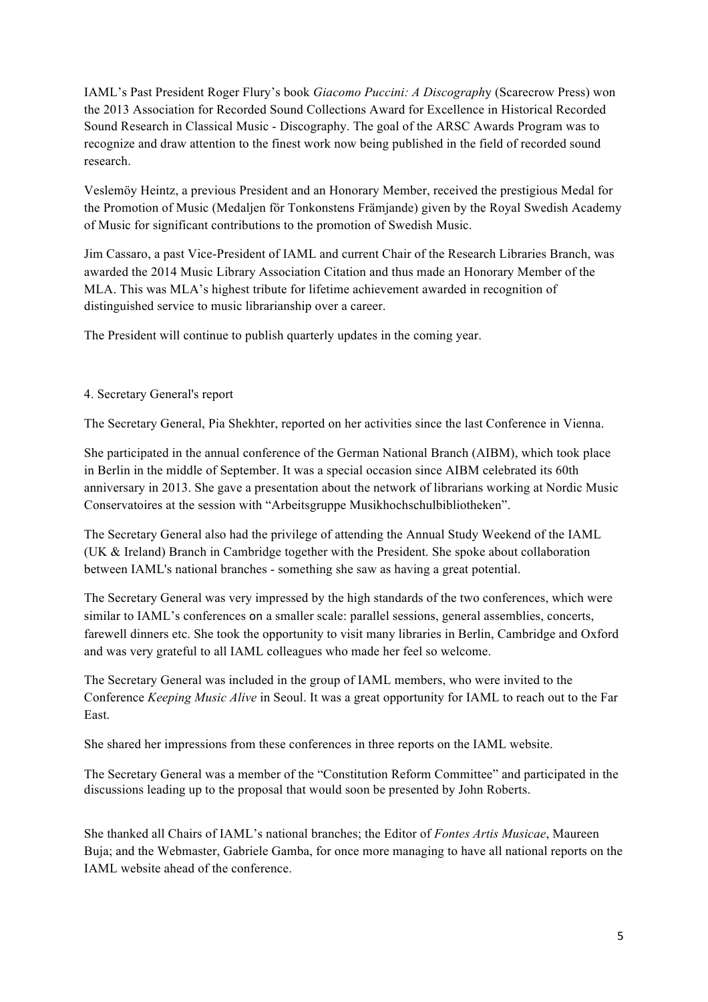IAML's Past President Roger Flury's book *Giacomo Puccini: A Discograph*y (Scarecrow Press) won the 2013 Association for Recorded Sound Collections Award for Excellence in Historical Recorded Sound Research in Classical Music - Discography. The goal of the ARSC Awards Program was to recognize and draw attention to the finest work now being published in the field of recorded sound research.

Veslemöy Heintz, a previous President and an Honorary Member, received the prestigious Medal for the Promotion of Music (Medaljen för Tonkonstens Främjande) given by the Royal Swedish Academy of Music for significant contributions to the promotion of Swedish Music.

Jim Cassaro, a past Vice-President of IAML and current Chair of the Research Libraries Branch, was awarded the 2014 Music Library Association Citation and thus made an Honorary Member of the MLA. This was MLA's highest tribute for lifetime achievement awarded in recognition of distinguished service to music librarianship over a career.

The President will continue to publish quarterly updates in the coming year.

## 4. Secretary General's report

The Secretary General, Pia Shekhter, reported on her activities since the last Conference in Vienna.

She participated in the annual conference of the German National Branch (AIBM), which took place in Berlin in the middle of September. It was a special occasion since AIBM celebrated its 60th anniversary in 2013. She gave a presentation about the network of librarians working at Nordic Music Conservatoires at the session with "Arbeitsgruppe Musikhochschulbibliotheken".

The Secretary General also had the privilege of attending the Annual Study Weekend of the IAML (UK & Ireland) Branch in Cambridge together with the President. She spoke about collaboration between IAML's national branches - something she saw as having a great potential.

The Secretary General was very impressed by the high standards of the two conferences, which were similar to IAML's conferences on a smaller scale: parallel sessions, general assemblies, concerts, farewell dinners etc. She took the opportunity to visit many libraries in Berlin, Cambridge and Oxford and was very grateful to all IAML colleagues who made her feel so welcome.

The Secretary General was included in the group of IAML members, who were invited to the Conference *Keeping Music Alive* in Seoul. It was a great opportunity for IAML to reach out to the Far East.

She shared her impressions from these conferences in three reports on the IAML website.

The Secretary General was a member of the "Constitution Reform Committee" and participated in the discussions leading up to the proposal that would soon be presented by John Roberts.

She thanked all Chairs of IAML's national branches; the Editor of *Fontes Artis Musicae*, Maureen Buja; and the Webmaster, Gabriele Gamba, for once more managing to have all national reports on the IAML website ahead of the conference.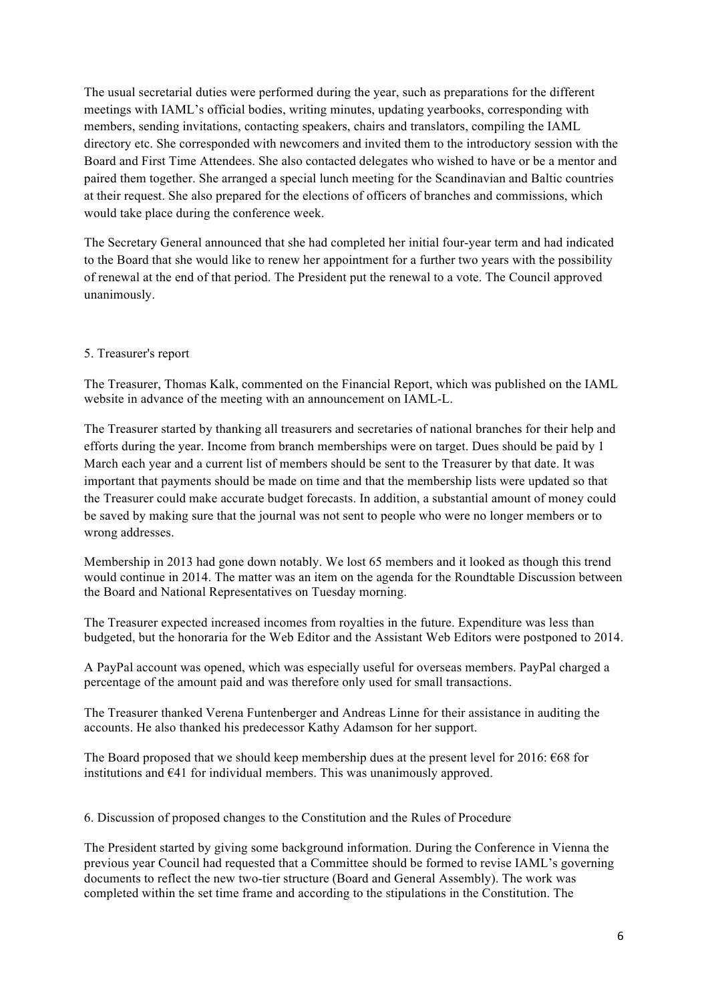The usual secretarial duties were performed during the year, such as preparations for the different meetings with IAML's official bodies, writing minutes, updating yearbooks, corresponding with members, sending invitations, contacting speakers, chairs and translators, compiling the IAML directory etc. She corresponded with newcomers and invited them to the introductory session with the Board and First Time Attendees. She also contacted delegates who wished to have or be a mentor and paired them together. She arranged a special lunch meeting for the Scandinavian and Baltic countries at their request. She also prepared for the elections of officers of branches and commissions, which would take place during the conference week.

The Secretary General announced that she had completed her initial four-year term and had indicated to the Board that she would like to renew her appointment for a further two years with the possibility of renewal at the end of that period. The President put the renewal to a vote. The Council approved unanimously.

## 5. Treasurer's report

The Treasurer, Thomas Kalk, commented on the Financial Report, which was published on the IAML website in advance of the meeting with an announcement on IAML-L.

The Treasurer started by thanking all treasurers and secretaries of national branches for their help and efforts during the year. Income from branch memberships were on target. Dues should be paid by 1 March each year and a current list of members should be sent to the Treasurer by that date. It was important that payments should be made on time and that the membership lists were updated so that the Treasurer could make accurate budget forecasts. In addition, a substantial amount of money could be saved by making sure that the journal was not sent to people who were no longer members or to wrong addresses.

Membership in 2013 had gone down notably. We lost 65 members and it looked as though this trend would continue in 2014. The matter was an item on the agenda for the Roundtable Discussion between the Board and National Representatives on Tuesday morning.

The Treasurer expected increased incomes from royalties in the future. Expenditure was less than budgeted, but the honoraria for the Web Editor and the Assistant Web Editors were postponed to 2014.

A PayPal account was opened, which was especially useful for overseas members. PayPal charged a percentage of the amount paid and was therefore only used for small transactions.

The Treasurer thanked Verena Funtenberger and Andreas Linne for their assistance in auditing the accounts. He also thanked his predecessor Kathy Adamson for her support.

The Board proposed that we should keep membership dues at the present level for 2016: €68 for institutions and  $641$  for individual members. This was unanimously approved.

6. Discussion of proposed changes to the Constitution and the Rules of Procedure

The President started by giving some background information. During the Conference in Vienna the previous year Council had requested that a Committee should be formed to revise IAML's governing documents to reflect the new two-tier structure (Board and General Assembly). The work was completed within the set time frame and according to the stipulations in the Constitution. The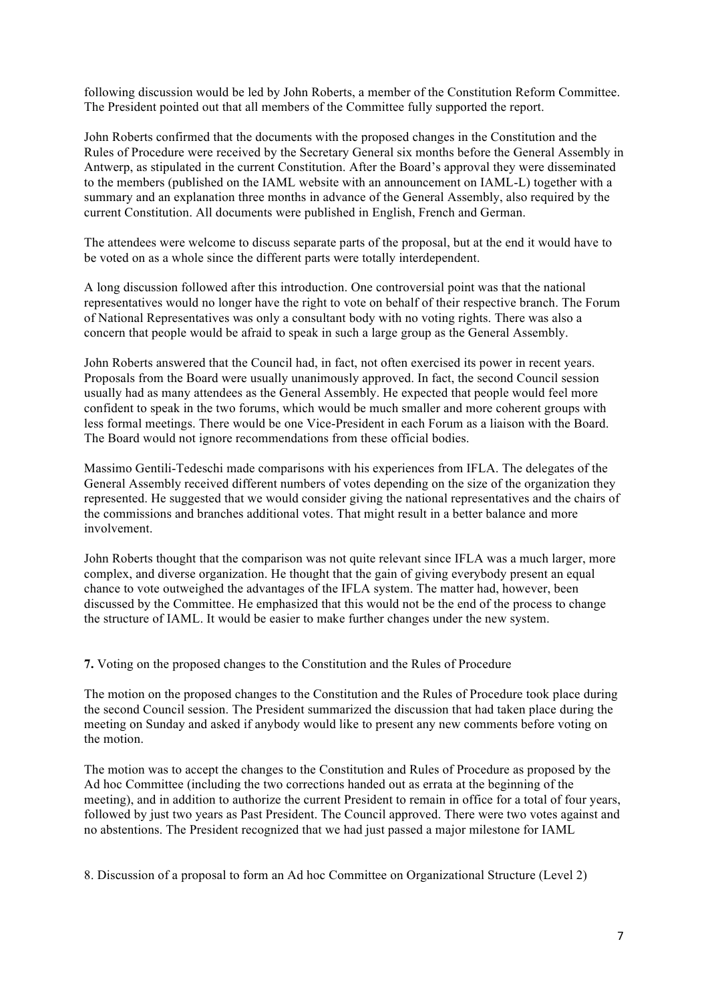following discussion would be led by John Roberts, a member of the Constitution Reform Committee. The President pointed out that all members of the Committee fully supported the report.

John Roberts confirmed that the documents with the proposed changes in the Constitution and the Rules of Procedure were received by the Secretary General six months before the General Assembly in Antwerp, as stipulated in the current Constitution. After the Board's approval they were disseminated to the members (published on the IAML website with an announcement on IAML-L) together with a summary and an explanation three months in advance of the General Assembly, also required by the current Constitution. All documents were published in English, French and German.

The attendees were welcome to discuss separate parts of the proposal, but at the end it would have to be voted on as a whole since the different parts were totally interdependent.

A long discussion followed after this introduction. One controversial point was that the national representatives would no longer have the right to vote on behalf of their respective branch. The Forum of National Representatives was only a consultant body with no voting rights. There was also a concern that people would be afraid to speak in such a large group as the General Assembly.

John Roberts answered that the Council had, in fact, not often exercised its power in recent years. Proposals from the Board were usually unanimously approved. In fact, the second Council session usually had as many attendees as the General Assembly. He expected that people would feel more confident to speak in the two forums, which would be much smaller and more coherent groups with less formal meetings. There would be one Vice-President in each Forum as a liaison with the Board. The Board would not ignore recommendations from these official bodies.

Massimo Gentili-Tedeschi made comparisons with his experiences from IFLA. The delegates of the General Assembly received different numbers of votes depending on the size of the organization they represented. He suggested that we would consider giving the national representatives and the chairs of the commissions and branches additional votes. That might result in a better balance and more involvement.

John Roberts thought that the comparison was not quite relevant since IFLA was a much larger, more complex, and diverse organization. He thought that the gain of giving everybody present an equal chance to vote outweighed the advantages of the IFLA system. The matter had, however, been discussed by the Committee. He emphasized that this would not be the end of the process to change the structure of IAML. It would be easier to make further changes under the new system.

**7.** Voting on the proposed changes to the Constitution and the Rules of Procedure

The motion on the proposed changes to the Constitution and the Rules of Procedure took place during the second Council session. The President summarized the discussion that had taken place during the meeting on Sunday and asked if anybody would like to present any new comments before voting on the motion.

The motion was to accept the changes to the Constitution and Rules of Procedure as proposed by the Ad hoc Committee (including the two corrections handed out as errata at the beginning of the meeting), and in addition to authorize the current President to remain in office for a total of four years, followed by just two years as Past President. The Council approved. There were two votes against and no abstentions. The President recognized that we had just passed a major milestone for IAML

8. Discussion of a proposal to form an Ad hoc Committee on Organizational Structure (Level 2)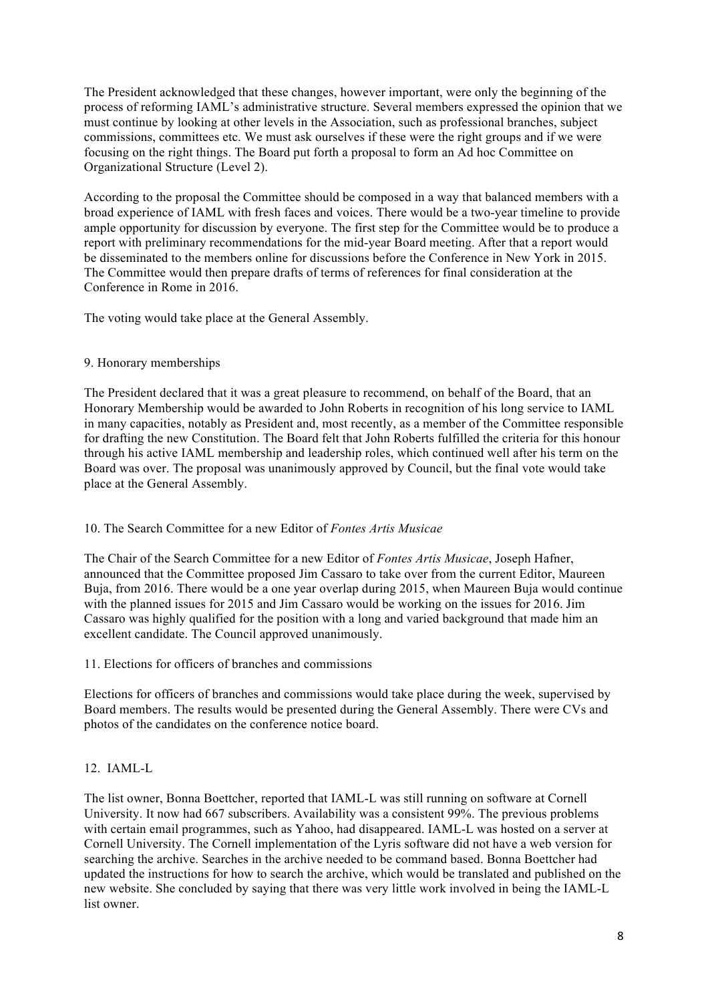The President acknowledged that these changes, however important, were only the beginning of the process of reforming IAML's administrative structure. Several members expressed the opinion that we must continue by looking at other levels in the Association, such as professional branches, subject commissions, committees etc. We must ask ourselves if these were the right groups and if we were focusing on the right things. The Board put forth a proposal to form an Ad hoc Committee on Organizational Structure (Level 2).

According to the proposal the Committee should be composed in a way that balanced members with a broad experience of IAML with fresh faces and voices. There would be a two-year timeline to provide ample opportunity for discussion by everyone. The first step for the Committee would be to produce a report with preliminary recommendations for the mid-year Board meeting. After that a report would be disseminated to the members online for discussions before the Conference in New York in 2015. The Committee would then prepare drafts of terms of references for final consideration at the Conference in Rome in 2016.

The voting would take place at the General Assembly.

## 9. Honorary memberships

The President declared that it was a great pleasure to recommend, on behalf of the Board, that an Honorary Membership would be awarded to John Roberts in recognition of his long service to IAML in many capacities, notably as President and, most recently, as a member of the Committee responsible for drafting the new Constitution. The Board felt that John Roberts fulfilled the criteria for this honour through his active IAML membership and leadership roles, which continued well after his term on the Board was over. The proposal was unanimously approved by Council, but the final vote would take place at the General Assembly.

# 10. The Search Committee for a new Editor of *Fontes Artis Musicae*

The Chair of the Search Committee for a new Editor of *Fontes Artis Musicae*, Joseph Hafner, announced that the Committee proposed Jim Cassaro to take over from the current Editor, Maureen Buja, from 2016. There would be a one year overlap during 2015, when Maureen Buja would continue with the planned issues for 2015 and Jim Cassaro would be working on the issues for 2016. Jim Cassaro was highly qualified for the position with a long and varied background that made him an excellent candidate. The Council approved unanimously.

11. Elections for officers of branches and commissions

Elections for officers of branches and commissions would take place during the week, supervised by Board members. The results would be presented during the General Assembly. There were CVs and photos of the candidates on the conference notice board.

# 12. IAML-L

The list owner, Bonna Boettcher, reported that IAML-L was still running on software at Cornell University. It now had 667 subscribers. Availability was a consistent 99%. The previous problems with certain email programmes, such as Yahoo, had disappeared. IAML-L was hosted on a server at Cornell University. The Cornell implementation of the Lyris software did not have a web version for searching the archive. Searches in the archive needed to be command based. Bonna Boettcher had updated the instructions for how to search the archive, which would be translated and published on the new website. She concluded by saying that there was very little work involved in being the IAML-L list owner.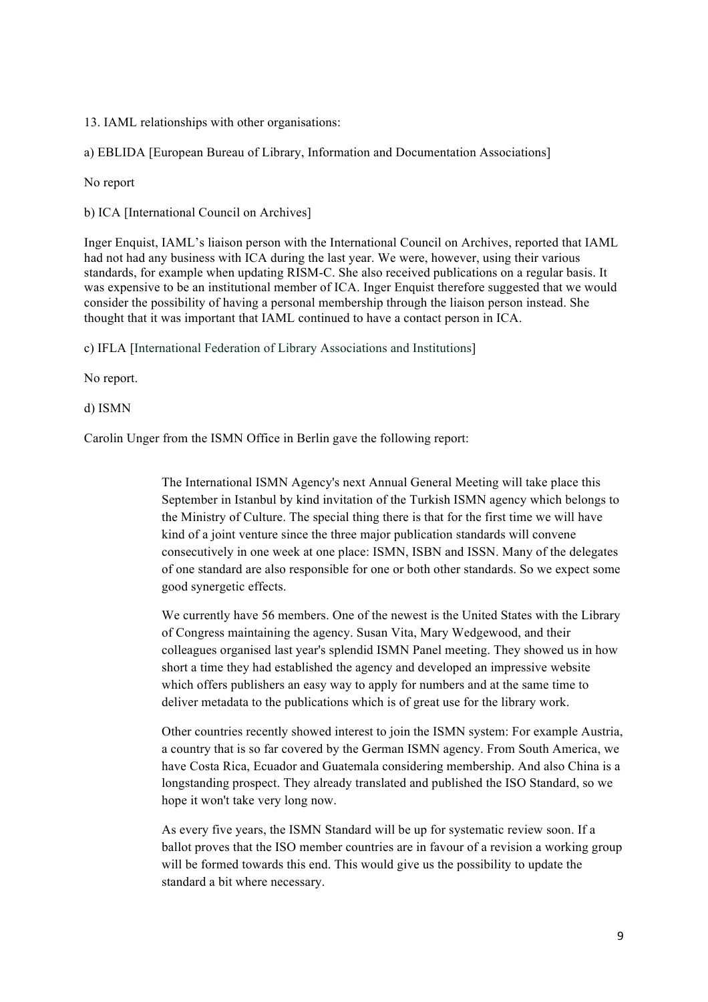13. IAML relationships with other organisations:

a) EBLIDA [European Bureau of Library, Information and Documentation Associations]

No report

b) ICA [International Council on Archives]

Inger Enquist, IAML's liaison person with the International Council on Archives, reported that IAML had not had any business with ICA during the last year. We were, however, using their various standards, for example when updating RISM-C. She also received publications on a regular basis. It was expensive to be an institutional member of ICA. Inger Enquist therefore suggested that we would consider the possibility of having a personal membership through the liaison person instead. She thought that it was important that IAML continued to have a contact person in ICA.

c) IFLA [International Federation of Library Associations and Institutions]

No report.

d) ISMN

Carolin Unger from the ISMN Office in Berlin gave the following report:

The International ISMN Agency's next Annual General Meeting will take place this September in Istanbul by kind invitation of the Turkish ISMN agency which belongs to the Ministry of Culture. The special thing there is that for the first time we will have kind of a joint venture since the three major publication standards will convene consecutively in one week at one place: ISMN, ISBN and ISSN. Many of the delegates of one standard are also responsible for one or both other standards. So we expect some good synergetic effects.

We currently have 56 members. One of the newest is the United States with the Library of Congress maintaining the agency. Susan Vita, Mary Wedgewood, and their colleagues organised last year's splendid ISMN Panel meeting. They showed us in how short a time they had established the agency and developed an impressive website which offers publishers an easy way to apply for numbers and at the same time to deliver metadata to the publications which is of great use for the library work.

Other countries recently showed interest to join the ISMN system: For example Austria, a country that is so far covered by the German ISMN agency. From South America, we have Costa Rica, Ecuador and Guatemala considering membership. And also China is a longstanding prospect. They already translated and published the ISO Standard, so we hope it won't take very long now.

As every five years, the ISMN Standard will be up for systematic review soon. If a ballot proves that the ISO member countries are in favour of a revision a working group will be formed towards this end. This would give us the possibility to update the standard a bit where necessary.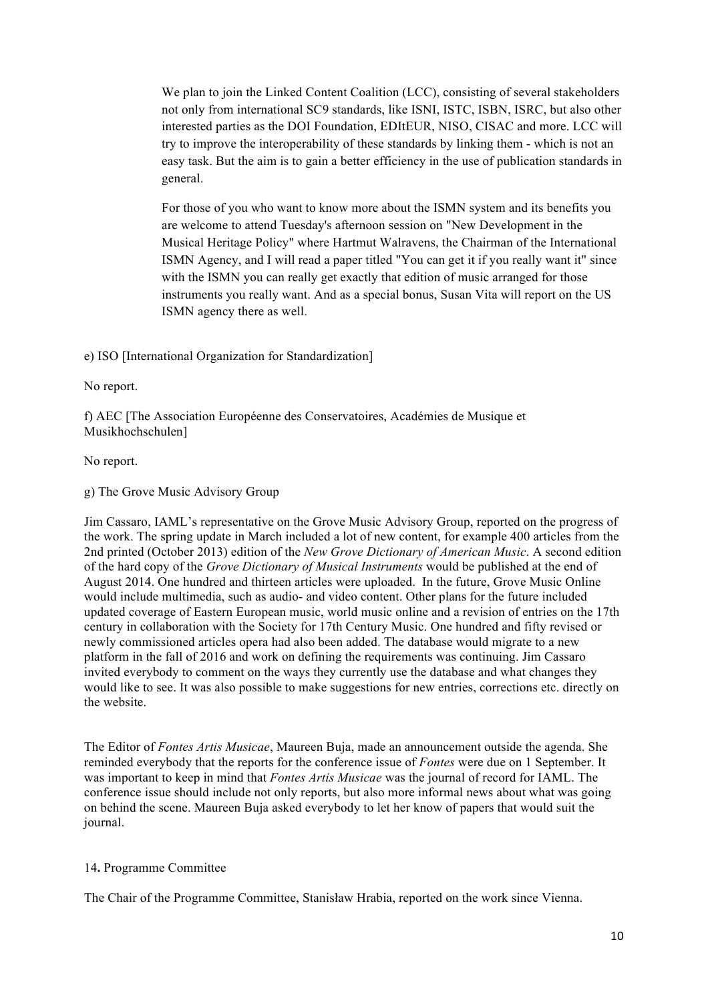We plan to join the Linked Content Coalition (LCC), consisting of several stakeholders not only from international SC9 standards, like ISNI, ISTC, ISBN, ISRC, but also other interested parties as the DOI Foundation, EDItEUR, NISO, CISAC and more. LCC will try to improve the interoperability of these standards by linking them - which is not an easy task. But the aim is to gain a better efficiency in the use of publication standards in general.

For those of you who want to know more about the ISMN system and its benefits you are welcome to attend Tuesday's afternoon session on "New Development in the Musical Heritage Policy" where Hartmut Walravens, the Chairman of the International ISMN Agency, and I will read a paper titled "You can get it if you really want it" since with the ISMN you can really get exactly that edition of music arranged for those instruments you really want. And as a special bonus, Susan Vita will report on the US ISMN agency there as well.

e) ISO [International Organization for Standardization]

No report.

f) AEC [The Association Européenne des Conservatoires, Académies de Musique et Musikhochschulen]

No report.

g) The Grove Music Advisory Group

Jim Cassaro, IAML's representative on the Grove Music Advisory Group, reported on the progress of the work. The spring update in March included a lot of new content, for example 400 articles from the 2nd printed (October 2013) edition of the *New Grove Dictionary of American Music*. A second edition of the hard copy of the *Grove Dictionary of Musical Instruments* would be published at the end of August 2014. One hundred and thirteen articles were uploaded. In the future, Grove Music Online would include multimedia, such as audio- and video content. Other plans for the future included updated coverage of Eastern European music, world music online and a revision of entries on the 17th century in collaboration with the Society for 17th Century Music. One hundred and fifty revised or newly commissioned articles opera had also been added. The database would migrate to a new platform in the fall of 2016 and work on defining the requirements was continuing. Jim Cassaro invited everybody to comment on the ways they currently use the database and what changes they would like to see. It was also possible to make suggestions for new entries, corrections etc. directly on the website.

The Editor of *Fontes Artis Musicae*, Maureen Buja, made an announcement outside the agenda. She reminded everybody that the reports for the conference issue of *Fontes* were due on 1 September. It was important to keep in mind that *Fontes Artis Musicae* was the journal of record for IAML. The conference issue should include not only reports, but also more informal news about what was going on behind the scene. Maureen Buja asked everybody to let her know of papers that would suit the journal.

#### 14**.** Programme Committee

The Chair of the Programme Committee, Stanisław Hrabia, reported on the work since Vienna.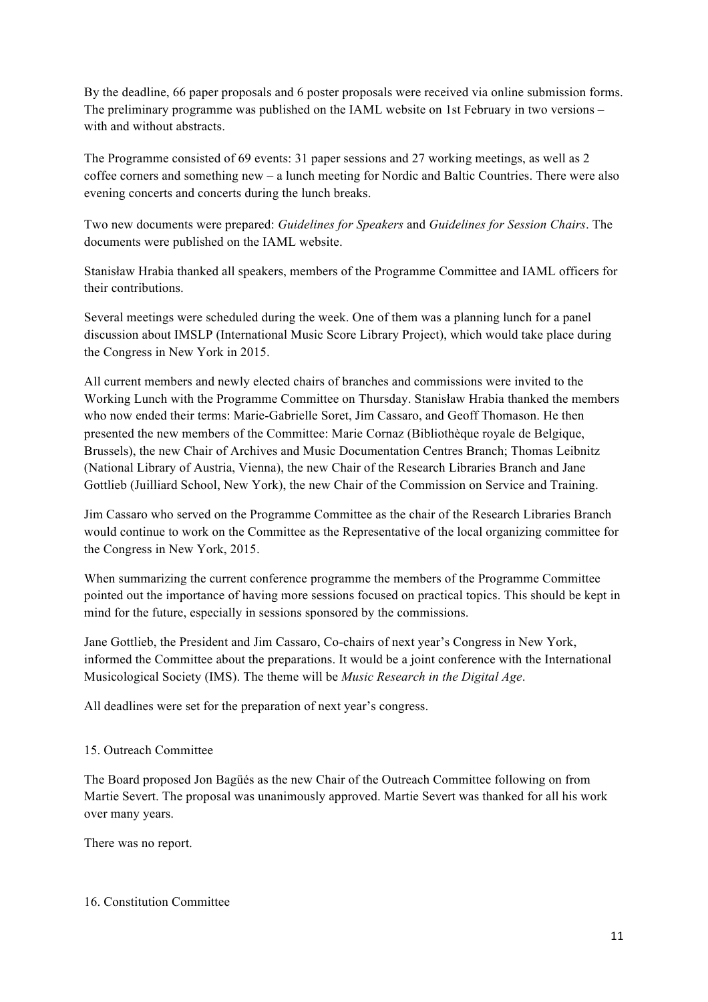By the deadline, 66 paper proposals and 6 poster proposals were received via online submission forms. The preliminary programme was published on the IAML website on 1st February in two versions – with and without abstracts.

The Programme consisted of 69 events: 31 paper sessions and 27 working meetings, as well as 2 coffee corners and something new – a lunch meeting for Nordic and Baltic Countries. There were also evening concerts and concerts during the lunch breaks.

Two new documents were prepared: *Guidelines for Speakers* and *Guidelines for Session Chairs*. The documents were published on the IAML website.

Stanisław Hrabia thanked all speakers, members of the Programme Committee and IAML officers for their contributions.

Several meetings were scheduled during the week. One of them was a planning lunch for a panel discussion about IMSLP (International Music Score Library Project), which would take place during the Congress in New York in 2015.

All current members and newly elected chairs of branches and commissions were invited to the Working Lunch with the Programme Committee on Thursday. Stanisław Hrabia thanked the members who now ended their terms: Marie-Gabrielle Soret, Jim Cassaro, and Geoff Thomason. He then presented the new members of the Committee: Marie Cornaz (Bibliothèque royale de Belgique, Brussels), the new Chair of Archives and Music Documentation Centres Branch; Thomas Leibnitz (National Library of Austria, Vienna), the new Chair of the Research Libraries Branch and Jane Gottlieb (Juilliard School, New York), the new Chair of the Commission on Service and Training.

Jim Cassaro who served on the Programme Committee as the chair of the Research Libraries Branch would continue to work on the Committee as the Representative of the local organizing committee for the Congress in New York, 2015.

When summarizing the current conference programme the members of the Programme Committee pointed out the importance of having more sessions focused on practical topics. This should be kept in mind for the future, especially in sessions sponsored by the commissions.

Jane Gottlieb, the President and Jim Cassaro, Co-chairs of next year's Congress in New York, informed the Committee about the preparations. It would be a joint conference with the International Musicological Society (IMS). The theme will be *Music Research in the Digital Age*.

All deadlines were set for the preparation of next year's congress.

# 15. Outreach Committee

The Board proposed Jon Bagüés as the new Chair of the Outreach Committee following on from Martie Severt. The proposal was unanimously approved. Martie Severt was thanked for all his work over many years.

There was no report.

16. Constitution Committee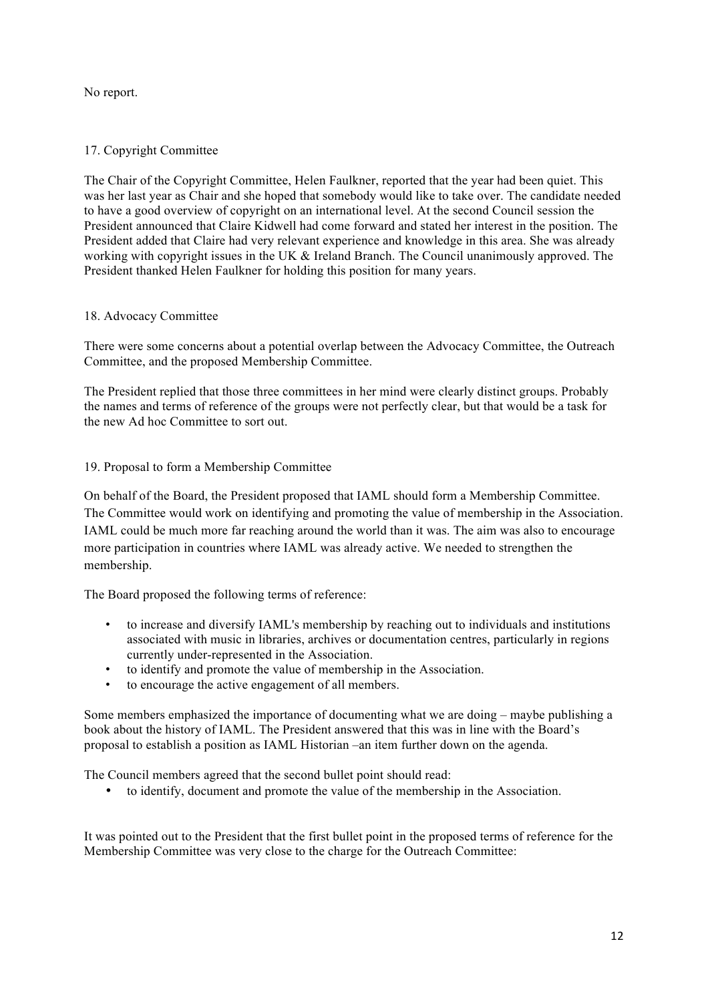# No report.

# 17. Copyright Committee

The Chair of the Copyright Committee, Helen Faulkner, reported that the year had been quiet. This was her last year as Chair and she hoped that somebody would like to take over. The candidate needed to have a good overview of copyright on an international level. At the second Council session the President announced that Claire Kidwell had come forward and stated her interest in the position. The President added that Claire had very relevant experience and knowledge in this area. She was already working with copyright issues in the UK & Ireland Branch. The Council unanimously approved. The President thanked Helen Faulkner for holding this position for many years.

# 18. Advocacy Committee

There were some concerns about a potential overlap between the Advocacy Committee, the Outreach Committee, and the proposed Membership Committee.

The President replied that those three committees in her mind were clearly distinct groups. Probably the names and terms of reference of the groups were not perfectly clear, but that would be a task for the new Ad hoc Committee to sort out.

# 19. Proposal to form a Membership Committee

On behalf of the Board, the President proposed that IAML should form a Membership Committee. The Committee would work on identifying and promoting the value of membership in the Association. IAML could be much more far reaching around the world than it was. The aim was also to encourage more participation in countries where IAML was already active. We needed to strengthen the membership.

The Board proposed the following terms of reference:

- to increase and diversify IAML's membership by reaching out to individuals and institutions associated with music in libraries, archives or documentation centres, particularly in regions currently under-represented in the Association.
- to identify and promote the value of membership in the Association.
- to encourage the active engagement of all members.

Some members emphasized the importance of documenting what we are doing – maybe publishing a book about the history of IAML. The President answered that this was in line with the Board's proposal to establish a position as IAML Historian –an item further down on the agenda.

The Council members agreed that the second bullet point should read:

• to identify, document and promote the value of the membership in the Association.

It was pointed out to the President that the first bullet point in the proposed terms of reference for the Membership Committee was very close to the charge for the Outreach Committee: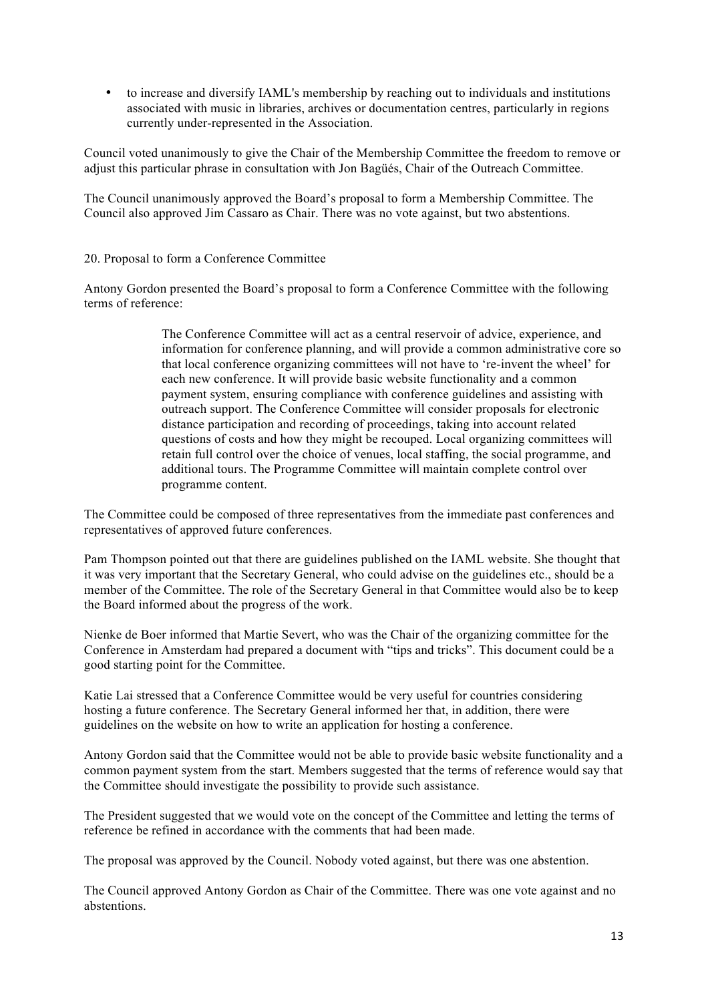• to increase and diversify IAML's membership by reaching out to individuals and institutions associated with music in libraries, archives or documentation centres, particularly in regions currently under-represented in the Association.

Council voted unanimously to give the Chair of the Membership Committee the freedom to remove or adjust this particular phrase in consultation with Jon Bagüés, Chair of the Outreach Committee.

The Council unanimously approved the Board's proposal to form a Membership Committee. The Council also approved Jim Cassaro as Chair. There was no vote against, but two abstentions.

## 20. Proposal to form a Conference Committee

Antony Gordon presented the Board's proposal to form a Conference Committee with the following terms of reference:

> The Conference Committee will act as a central reservoir of advice, experience, and information for conference planning, and will provide a common administrative core so that local conference organizing committees will not have to 're-invent the wheel' for each new conference. It will provide basic website functionality and a common payment system, ensuring compliance with conference guidelines and assisting with outreach support. The Conference Committee will consider proposals for electronic distance participation and recording of proceedings, taking into account related questions of costs and how they might be recouped. Local organizing committees will retain full control over the choice of venues, local staffing, the social programme, and additional tours. The Programme Committee will maintain complete control over programme content.

The Committee could be composed of three representatives from the immediate past conferences and representatives of approved future conferences.

Pam Thompson pointed out that there are guidelines published on the IAML website. She thought that it was very important that the Secretary General, who could advise on the guidelines etc., should be a member of the Committee. The role of the Secretary General in that Committee would also be to keep the Board informed about the progress of the work.

Nienke de Boer informed that Martie Severt, who was the Chair of the organizing committee for the Conference in Amsterdam had prepared a document with "tips and tricks". This document could be a good starting point for the Committee.

Katie Lai stressed that a Conference Committee would be very useful for countries considering hosting a future conference. The Secretary General informed her that, in addition, there were guidelines on the website on how to write an application for hosting a conference.

Antony Gordon said that the Committee would not be able to provide basic website functionality and a common payment system from the start. Members suggested that the terms of reference would say that the Committee should investigate the possibility to provide such assistance.

The President suggested that we would vote on the concept of the Committee and letting the terms of reference be refined in accordance with the comments that had been made.

The proposal was approved by the Council. Nobody voted against, but there was one abstention.

The Council approved Antony Gordon as Chair of the Committee. There was one vote against and no abstentions.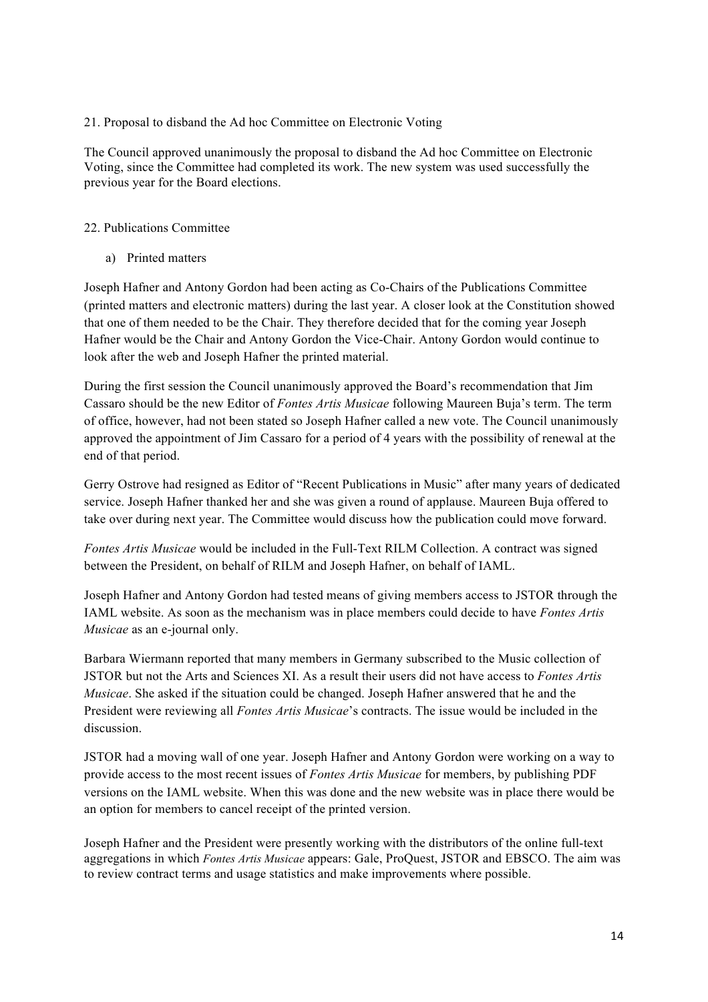## 21. Proposal to disband the Ad hoc Committee on Electronic Voting

The Council approved unanimously the proposal to disband the Ad hoc Committee on Electronic Voting, since the Committee had completed its work. The new system was used successfully the previous year for the Board elections.

## 22. Publications Committee

a) Printed matters

Joseph Hafner and Antony Gordon had been acting as Co-Chairs of the Publications Committee (printed matters and electronic matters) during the last year. A closer look at the Constitution showed that one of them needed to be the Chair. They therefore decided that for the coming year Joseph Hafner would be the Chair and Antony Gordon the Vice-Chair. Antony Gordon would continue to look after the web and Joseph Hafner the printed material.

During the first session the Council unanimously approved the Board's recommendation that Jim Cassaro should be the new Editor of *Fontes Artis Musicae* following Maureen Buja's term. The term of office, however, had not been stated so Joseph Hafner called a new vote. The Council unanimously approved the appointment of Jim Cassaro for a period of 4 years with the possibility of renewal at the end of that period.

Gerry Ostrove had resigned as Editor of "Recent Publications in Music" after many years of dedicated service. Joseph Hafner thanked her and she was given a round of applause. Maureen Buja offered to take over during next year. The Committee would discuss how the publication could move forward.

*Fontes Artis Musicae* would be included in the Full-Text RILM Collection. A contract was signed between the President, on behalf of RILM and Joseph Hafner, on behalf of IAML.

Joseph Hafner and Antony Gordon had tested means of giving members access to JSTOR through the IAML website. As soon as the mechanism was in place members could decide to have *Fontes Artis Musicae* as an e-journal only.

Barbara Wiermann reported that many members in Germany subscribed to the Music collection of JSTOR but not the Arts and Sciences XI. As a result their users did not have access to *Fontes Artis Musicae*. She asked if the situation could be changed. Joseph Hafner answered that he and the President were reviewing all *Fontes Artis Musicae*'s contracts. The issue would be included in the discussion.

JSTOR had a moving wall of one year. Joseph Hafner and Antony Gordon were working on a way to provide access to the most recent issues of *Fontes Artis Musicae* for members, by publishing PDF versions on the IAML website. When this was done and the new website was in place there would be an option for members to cancel receipt of the printed version.

Joseph Hafner and the President were presently working with the distributors of the online full-text aggregations in which *Fontes Artis Musicae* appears: Gale, ProQuest, JSTOR and EBSCO. The aim was to review contract terms and usage statistics and make improvements where possible.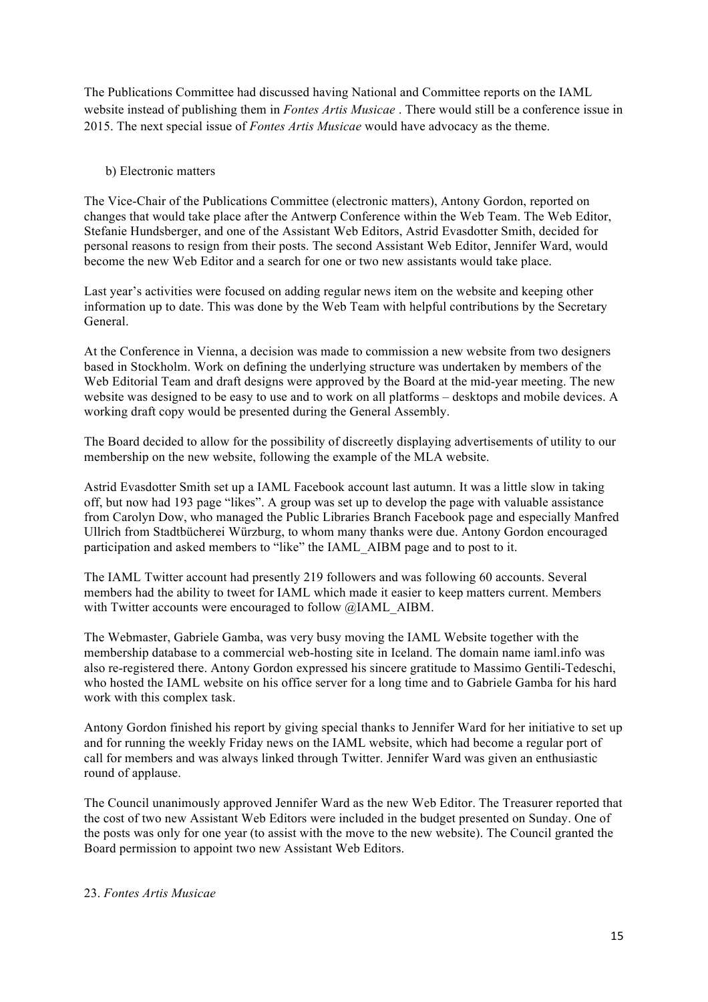The Publications Committee had discussed having National and Committee reports on the IAML website instead of publishing them in *Fontes Artis Musicae* . There would still be a conference issue in 2015. The next special issue of *Fontes Artis Musicae* would have advocacy as the theme.

### b) Electronic matters

The Vice-Chair of the Publications Committee (electronic matters), Antony Gordon, reported on changes that would take place after the Antwerp Conference within the Web Team. The Web Editor, Stefanie Hundsberger, and one of the Assistant Web Editors, Astrid Evasdotter Smith, decided for personal reasons to resign from their posts. The second Assistant Web Editor, Jennifer Ward, would become the new Web Editor and a search for one or two new assistants would take place.

Last year's activities were focused on adding regular news item on the website and keeping other information up to date. This was done by the Web Team with helpful contributions by the Secretary General.

At the Conference in Vienna, a decision was made to commission a new website from two designers based in Stockholm. Work on defining the underlying structure was undertaken by members of the Web Editorial Team and draft designs were approved by the Board at the mid-year meeting. The new website was designed to be easy to use and to work on all platforms – desktops and mobile devices. A working draft copy would be presented during the General Assembly.

The Board decided to allow for the possibility of discreetly displaying advertisements of utility to our membership on the new website, following the example of the MLA website.

Astrid Evasdotter Smith set up a IAML Facebook account last autumn. It was a little slow in taking off, but now had 193 page "likes". A group was set up to develop the page with valuable assistance from Carolyn Dow, who managed the Public Libraries Branch Facebook page and especially Manfred Ullrich from Stadtbücherei Würzburg, to whom many thanks were due. Antony Gordon encouraged participation and asked members to "like" the IAML\_AIBM page and to post to it.

The IAML Twitter account had presently 219 followers and was following 60 accounts. Several members had the ability to tweet for IAML which made it easier to keep matters current. Members with Twitter accounts were encouraged to follow @IAML\_AIBM.

The Webmaster, Gabriele Gamba, was very busy moving the IAML Website together with the membership database to a commercial web-hosting site in Iceland. The domain name iaml.info was also re-registered there. Antony Gordon expressed his sincere gratitude to Massimo Gentili-Tedeschi, who hosted the IAML website on his office server for a long time and to Gabriele Gamba for his hard work with this complex task.

Antony Gordon finished his report by giving special thanks to Jennifer Ward for her initiative to set up and for running the weekly Friday news on the IAML website, which had become a regular port of call for members and was always linked through Twitter. Jennifer Ward was given an enthusiastic round of applause.

The Council unanimously approved Jennifer Ward as the new Web Editor. The Treasurer reported that the cost of two new Assistant Web Editors were included in the budget presented on Sunday. One of the posts was only for one year (to assist with the move to the new website). The Council granted the Board permission to appoint two new Assistant Web Editors.

#### 23. *Fontes Artis Musicae*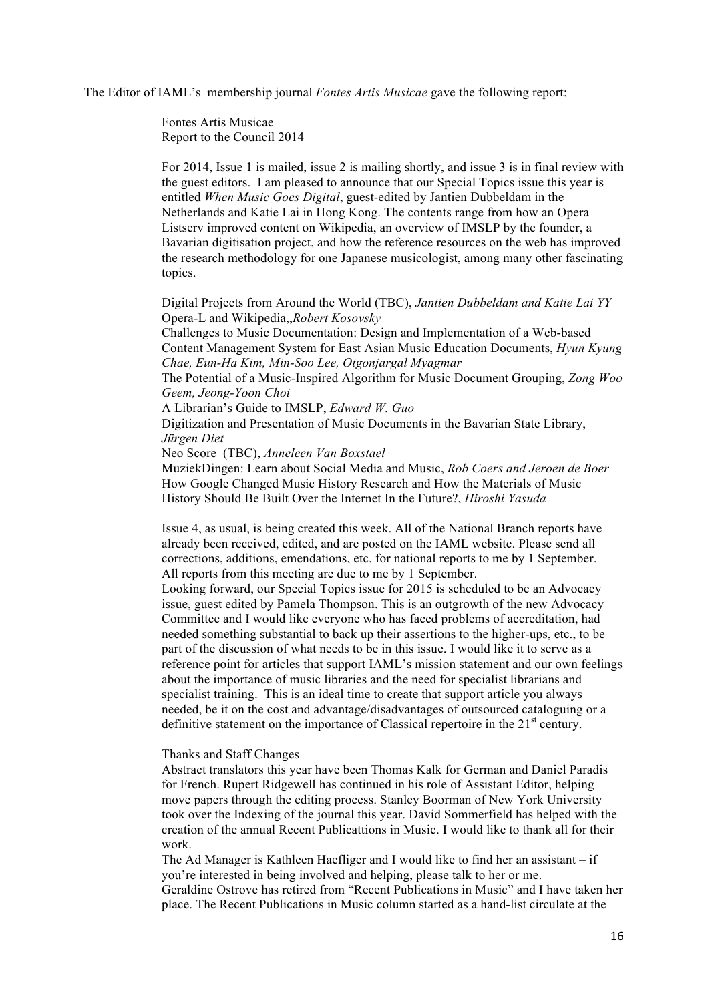The Editor of IAML's membership journal *Fontes Artis Musicae* gave the following report:

Fontes Artis Musicae Report to the Council 2014

For 2014, Issue 1 is mailed, issue 2 is mailing shortly, and issue 3 is in final review with the guest editors. I am pleased to announce that our Special Topics issue this year is entitled *When Music Goes Digital*, guest-edited by Jantien Dubbeldam in the Netherlands and Katie Lai in Hong Kong. The contents range from how an Opera Listserv improved content on Wikipedia, an overview of IMSLP by the founder, a Bavarian digitisation project, and how the reference resources on the web has improved the research methodology for one Japanese musicologist, among many other fascinating topics.

Digital Projects from Around the World (TBC), *Jantien Dubbeldam and Katie Lai YY* Opera-L and Wikipedia,,*Robert Kosovsky*

Challenges to Music Documentation: Design and Implementation of a Web-based Content Management System for East Asian Music Education Documents, *Hyun Kyung Chae, Eun-Ha Kim, Min-Soo Lee, Otgonjargal Myagmar*

The Potential of a Music-Inspired Algorithm for Music Document Grouping, *Zong Woo Geem, Jeong-Yoon Choi*

A Librarian's Guide to IMSLP, *Edward W. Guo*

Digitization and Presentation of Music Documents in the Bavarian State Library, *Jürgen Diet*

Neo Score (TBC), *Anneleen Van Boxstael*

MuziekDingen: Learn about Social Media and Music, *Rob Coers and Jeroen de Boer*  How Google Changed Music History Research and How the Materials of Music History Should Be Built Over the Internet In the Future?, *Hiroshi Yasuda*

Issue 4, as usual, is being created this week. All of the National Branch reports have already been received, edited, and are posted on the IAML website. Please send all corrections, additions, emendations, etc. for national reports to me by 1 September. All reports from this meeting are due to me by 1 September.

Looking forward, our Special Topics issue for 2015 is scheduled to be an Advocacy issue, guest edited by Pamela Thompson. This is an outgrowth of the new Advocacy Committee and I would like everyone who has faced problems of accreditation, had needed something substantial to back up their assertions to the higher-ups, etc., to be part of the discussion of what needs to be in this issue. I would like it to serve as a reference point for articles that support IAML's mission statement and our own feelings about the importance of music libraries and the need for specialist librarians and specialist training. This is an ideal time to create that support article you always needed, be it on the cost and advantage/disadvantages of outsourced cataloguing or a definitive statement on the importance of Classical repertoire in the  $21<sup>st</sup>$  century.

#### Thanks and Staff Changes

Abstract translators this year have been Thomas Kalk for German and Daniel Paradis for French. Rupert Ridgewell has continued in his role of Assistant Editor, helping move papers through the editing process. Stanley Boorman of New York University took over the Indexing of the journal this year. David Sommerfield has helped with the creation of the annual Recent Publicattions in Music. I would like to thank all for their work.

The Ad Manager is Kathleen Haefliger and I would like to find her an assistant – if you're interested in being involved and helping, please talk to her or me. Geraldine Ostrove has retired from "Recent Publications in Music" and I have taken her place. The Recent Publications in Music column started as a hand-list circulate at the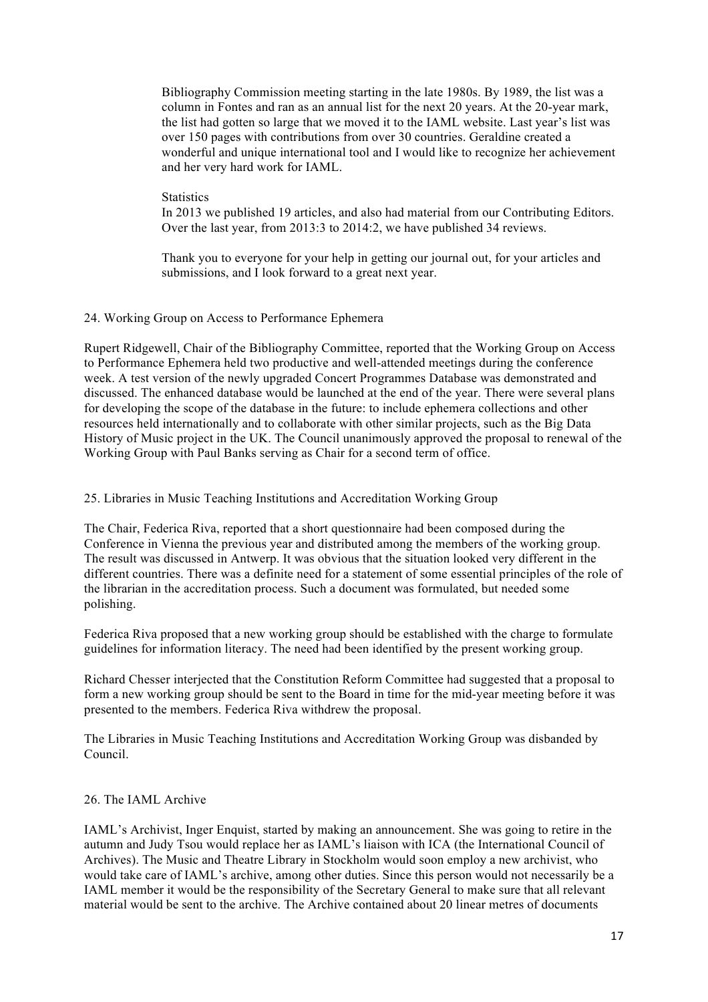Bibliography Commission meeting starting in the late 1980s. By 1989, the list was a column in Fontes and ran as an annual list for the next 20 years. At the 20-year mark, the list had gotten so large that we moved it to the IAML website. Last year's list was over 150 pages with contributions from over 30 countries. Geraldine created a wonderful and unique international tool and I would like to recognize her achievement and her very hard work for IAML.

#### **Statistics**

In 2013 we published 19 articles, and also had material from our Contributing Editors. Over the last year, from 2013:3 to 2014:2, we have published 34 reviews.

Thank you to everyone for your help in getting our journal out, for your articles and submissions, and I look forward to a great next year.

#### 24. Working Group on Access to Performance Ephemera

Rupert Ridgewell, Chair of the Bibliography Committee, reported that the Working Group on Access to Performance Ephemera held two productive and well-attended meetings during the conference week. A test version of the newly upgraded Concert Programmes Database was demonstrated and discussed. The enhanced database would be launched at the end of the year. There were several plans for developing the scope of the database in the future: to include ephemera collections and other resources held internationally and to collaborate with other similar projects, such as the Big Data History of Music project in the UK. The Council unanimously approved the proposal to renewal of the Working Group with Paul Banks serving as Chair for a second term of office.

#### 25. Libraries in Music Teaching Institutions and Accreditation Working Group

The Chair, Federica Riva, reported that a short questionnaire had been composed during the Conference in Vienna the previous year and distributed among the members of the working group. The result was discussed in Antwerp. It was obvious that the situation looked very different in the different countries. There was a definite need for a statement of some essential principles of the role of the librarian in the accreditation process. Such a document was formulated, but needed some polishing.

Federica Riva proposed that a new working group should be established with the charge to formulate guidelines for information literacy. The need had been identified by the present working group.

Richard Chesser interjected that the Constitution Reform Committee had suggested that a proposal to form a new working group should be sent to the Board in time for the mid-year meeting before it was presented to the members. Federica Riva withdrew the proposal.

The Libraries in Music Teaching Institutions and Accreditation Working Group was disbanded by Council.

#### 26. The IAML Archive

IAML's Archivist, Inger Enquist, started by making an announcement. She was going to retire in the autumn and Judy Tsou would replace her as IAML's liaison with ICA (the International Council of Archives). The Music and Theatre Library in Stockholm would soon employ a new archivist, who would take care of IAML's archive, among other duties. Since this person would not necessarily be a IAML member it would be the responsibility of the Secretary General to make sure that all relevant material would be sent to the archive. The Archive contained about 20 linear metres of documents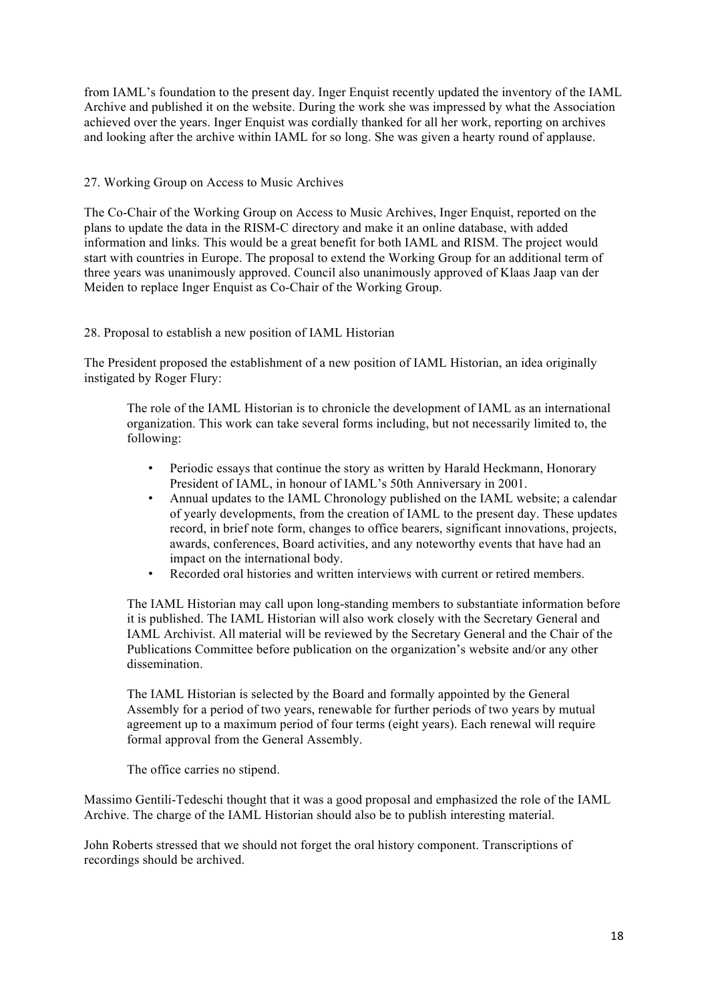from IAML's foundation to the present day. Inger Enquist recently updated the inventory of the IAML Archive and published it on the website. During the work she was impressed by what the Association achieved over the years. Inger Enquist was cordially thanked for all her work, reporting on archives and looking after the archive within IAML for so long. She was given a hearty round of applause.

## 27. Working Group on Access to Music Archives

The Co-Chair of the Working Group on Access to Music Archives, Inger Enquist, reported on the plans to update the data in the RISM-C directory and make it an online database, with added information and links. This would be a great benefit for both IAML and RISM. The project would start with countries in Europe. The proposal to extend the Working Group for an additional term of three years was unanimously approved. Council also unanimously approved of Klaas Jaap van der Meiden to replace Inger Enquist as Co-Chair of the Working Group.

## 28. Proposal to establish a new position of IAML Historian

The President proposed the establishment of a new position of IAML Historian, an idea originally instigated by Roger Flury:

The role of the IAML Historian is to chronicle the development of IAML as an international organization. This work can take several forms including, but not necessarily limited to, the following:

- Periodic essays that continue the story as written by Harald Heckmann, Honorary President of IAML, in honour of IAML's 50th Anniversary in 2001.
- Annual updates to the IAML Chronology published on the IAML website; a calendar of yearly developments, from the creation of IAML to the present day. These updates record, in brief note form, changes to office bearers, significant innovations, projects, awards, conferences, Board activities, and any noteworthy events that have had an impact on the international body.
- Recorded oral histories and written interviews with current or retired members.

The IAML Historian may call upon long-standing members to substantiate information before it is published. The IAML Historian will also work closely with the Secretary General and IAML Archivist. All material will be reviewed by the Secretary General and the Chair of the Publications Committee before publication on the organization's website and/or any other dissemination.

The IAML Historian is selected by the Board and formally appointed by the General Assembly for a period of two years, renewable for further periods of two years by mutual agreement up to a maximum period of four terms (eight years). Each renewal will require formal approval from the General Assembly.

The office carries no stipend.

Massimo Gentili-Tedeschi thought that it was a good proposal and emphasized the role of the IAML Archive. The charge of the IAML Historian should also be to publish interesting material.

John Roberts stressed that we should not forget the oral history component. Transcriptions of recordings should be archived.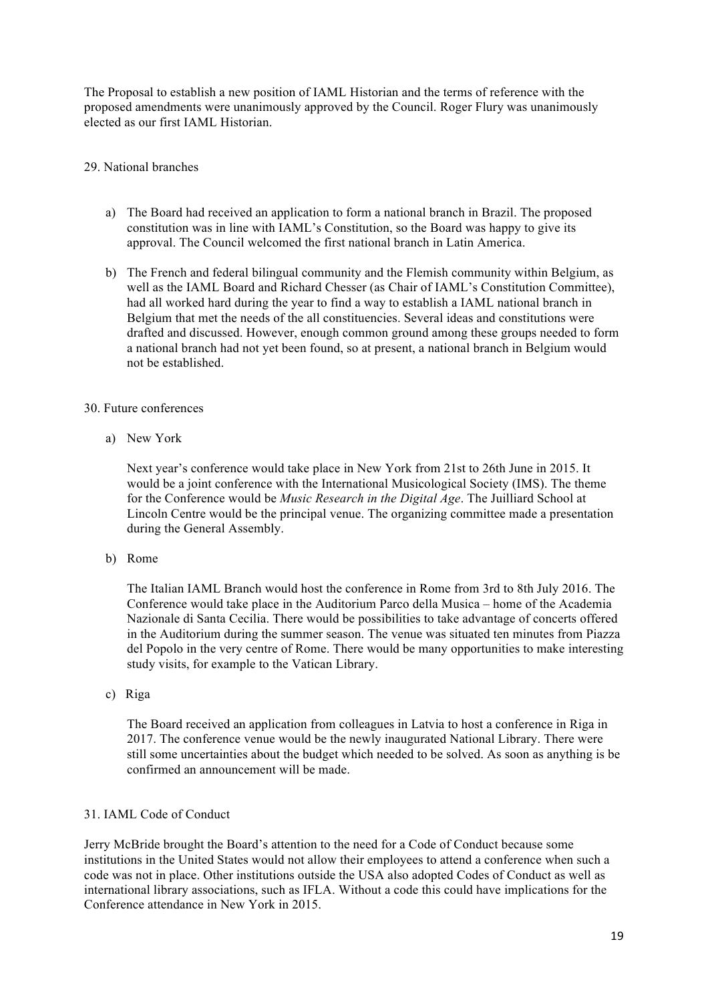The Proposal to establish a new position of IAML Historian and the terms of reference with the proposed amendments were unanimously approved by the Council. Roger Flury was unanimously elected as our first IAML Historian.

### 29. National branches

- a) The Board had received an application to form a national branch in Brazil. The proposed constitution was in line with IAML's Constitution, so the Board was happy to give its approval. The Council welcomed the first national branch in Latin America.
- b) The French and federal bilingual community and the Flemish community within Belgium, as well as the IAML Board and Richard Chesser (as Chair of IAML's Constitution Committee), had all worked hard during the year to find a way to establish a IAML national branch in Belgium that met the needs of the all constituencies. Several ideas and constitutions were drafted and discussed. However, enough common ground among these groups needed to form a national branch had not yet been found, so at present, a national branch in Belgium would not be established.

## 30. Future conferences

a) New York

Next year's conference would take place in New York from 21st to 26th June in 2015. It would be a joint conference with the International Musicological Society (IMS). The theme for the Conference would be *Music Research in the Digital Age*. The Juilliard School at Lincoln Centre would be the principal venue. The organizing committee made a presentation during the General Assembly.

b) Rome

The Italian IAML Branch would host the conference in Rome from 3rd to 8th July 2016. The Conference would take place in the Auditorium Parco della Musica – home of the Academia Nazionale di Santa Cecilia. There would be possibilities to take advantage of concerts offered in the Auditorium during the summer season. The venue was situated ten minutes from Piazza del Popolo in the very centre of Rome. There would be many opportunities to make interesting study visits, for example to the Vatican Library.

c) Riga

The Board received an application from colleagues in Latvia to host a conference in Riga in 2017. The conference venue would be the newly inaugurated National Library. There were still some uncertainties about the budget which needed to be solved. As soon as anything is be confirmed an announcement will be made.

# 31. IAML Code of Conduct

Jerry McBride brought the Board's attention to the need for a Code of Conduct because some institutions in the United States would not allow their employees to attend a conference when such a code was not in place. Other institutions outside the USA also adopted Codes of Conduct as well as international library associations, such as IFLA. Without a code this could have implications for the Conference attendance in New York in 2015.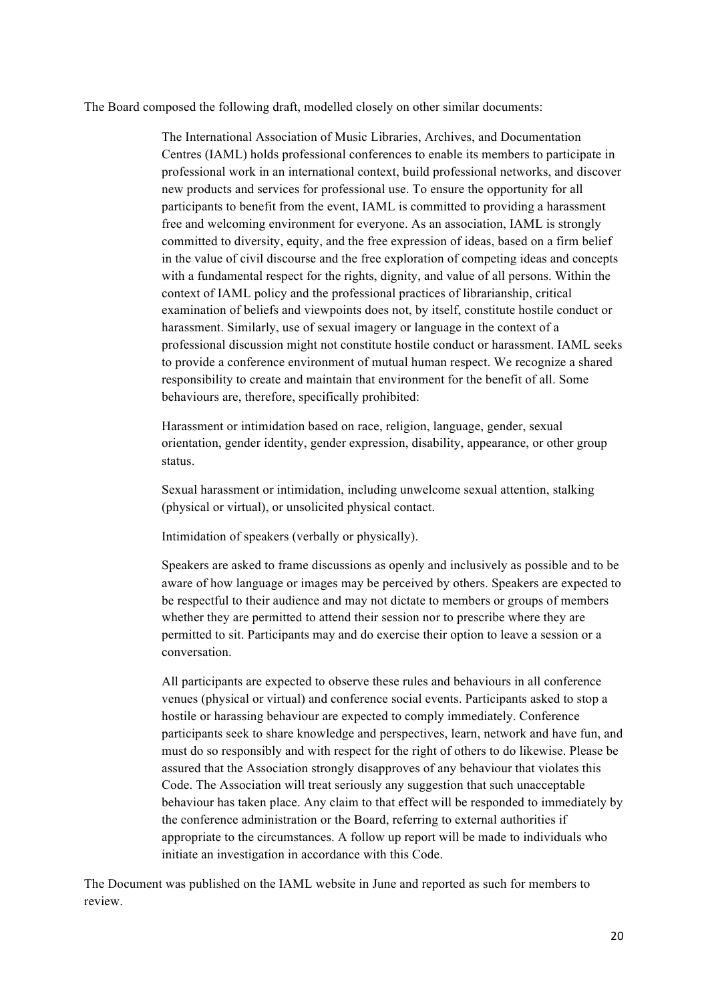The Board composed the following draft, modelled closely on other similar documents:

The International Association of Music Libraries, Archives, and Documentation Centres (IAML) holds professional conferences to enable its members to participate in professional work in an international context, build professional networks, and discover new products and services for professional use. To ensure the opportunity for all participants to benefit from the event, IAML is committed to providing a harassment free and welcoming environment for everyone. As an association, IAML is strongly committed to diversity, equity, and the free expression of ideas, based on a firm belief in the value of civil discourse and the free exploration of competing ideas and concepts with a fundamental respect for the rights, dignity, and value of all persons. Within the context of IAML policy and the professional practices of librarianship, critical examination of beliefs and viewpoints does not, by itself, constitute hostile conduct or harassment. Similarly, use of sexual imagery or language in the context of a professional discussion might not constitute hostile conduct or harassment. IAML seeks to provide a conference environment of mutual human respect. We recognize a shared responsibility to create and maintain that environment for the benefit of all. Some behaviours are, therefore, specifically prohibited:

Harassment or intimidation based on race, religion, language, gender, sexual orientation, gender identity, gender expression, disability, appearance, or other group status.

Sexual harassment or intimidation, including unwelcome sexual attention, stalking (physical or virtual), or unsolicited physical contact.

Intimidation of speakers (verbally or physically).

Speakers are asked to frame discussions as openly and inclusively as possible and to be aware of how language or images may be perceived by others. Speakers are expected to be respectful to their audience and may not dictate to members or groups of members whether they are permitted to attend their session nor to prescribe where they are permitted to sit. Participants may and do exercise their option to leave a session or a conversation.

All participants are expected to observe these rules and behaviours in all conference venues (physical or virtual) and conference social events. Participants asked to stop a hostile or harassing behaviour are expected to comply immediately. Conference participants seek to share knowledge and perspectives, learn, network and have fun, and must do so responsibly and with respect for the right of others to do likewise. Please be assured that the Association strongly disapproves of any behaviour that violates this Code. The Association will treat seriously any suggestion that such unacceptable behaviour has taken place. Any claim to that effect will be responded to immediately by the conference administration or the Board, referring to external authorities if appropriate to the circumstances. A follow up report will be made to individuals who initiate an investigation in accordance with this Code.

The Document was published on the IAML website in June and reported as such for members to review.